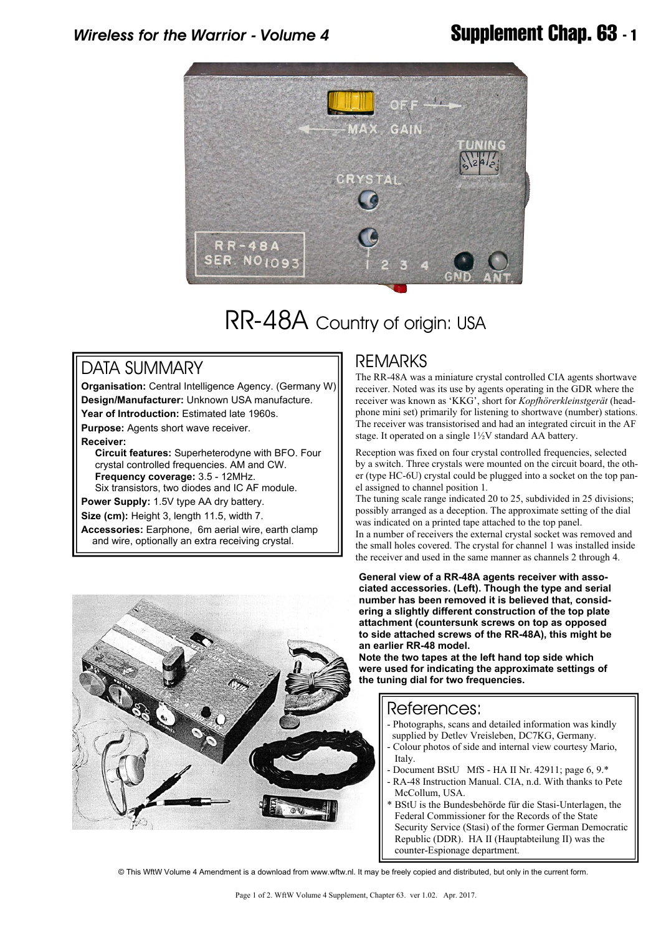

# RR-48A Country of origin: USA

### DATA SUMMARY

**Organisation:** Central Intelligence Agency. (Germany W) **Design/Manufacturer:** Unknown USA manufacture. **Year of Introduction:** Estimated late 1960s.

**Purpose:** Agents short wave receiver.

**Receiver:**

 **Circuit features:** Superheterodyne with BFO. Four crystal controlled frequencies. AM and CW.  **Frequency coverage:** 3.5 - 12MHz. Six transistors, two diodes and IC AF module.

**Power Supply:** 1.5V type AA dry battery.

**Size (cm):** Height 3, length 11.5, width 7.

**Accessories:** Earphone, 6m aerial wire, earth clamp and wire, optionally an extra receiving crystal.

#### REMARKS

The RR-48A was a miniature crystal controlled CIA agents shortwave receiver. Noted was its use by agents operating in the GDR where the receiver was known as 'KKG', short for *Kopfhörerkleinstgerät* (headphone mini set) primarily for listening to shortwave (number) stations. The receiver was transistorised and had an integrated circuit in the AF stage. It operated on a single 1½V standard AA battery.

Reception was fixed on four crystal controlled frequencies, selected by a switch. Three crystals were mounted on the circuit board, the other (type HC-6U) crystal could be plugged into a socket on the top panel assigned to channel position 1*.*

The tuning scale range indicated 20 to 25, subdivided in 25 divisions; possibly arranged as a deception. The approximate setting of the dial was indicated on a printed tape attached to the top panel.

In a number of receivers the external crystal socket was removed and the small holes covered. The crystal for channel 1 was installed inside the receiver and used in the same manner as channels 2 through 4.

**General view of a RR-48A agents receiver with associated accessories. (Left). Though the type and serial number has been removed it is believed that, considering a slightly different construction of the top plate attachment (countersunk screws on top as opposed to side attached screws of the RR-48A), this might be an earlier RR-48 model.**

**Note the two tapes at the left hand top side which were used for indicating the approximate settings of the tuning dial for two frequencies.**

### References:

- Photographs, scans and detailed information was kindly supplied by Detlev Vreisleben, DC7KG, Germany.
- Colour photos of side and internal view courtesy Mario, Italy.
- Document BStU MfS HA II Nr. 42911; page 6, 9.\*
- RA-48 Instruction Manual. CIA, n.d. With thanks to Pete McCollum, USA.
- BStU is the Bundesbehörde für die Stasi-Unterlagen, the Federal Commissioner for the Records of the State Security Service (Stasi) of the former German Democratic Republic (DDR). HA II (Hauptabteilung II) was the counter-Espionage department.



© This WftW Volume 4 Amendment is a download from www.wftw.nl. It may be freely copied and distributed, but only in the current form.